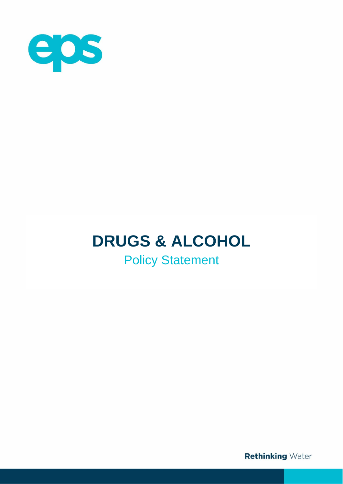

# **DRUGS & ALCOHOL**

Policy Statement

**Rethinking Water**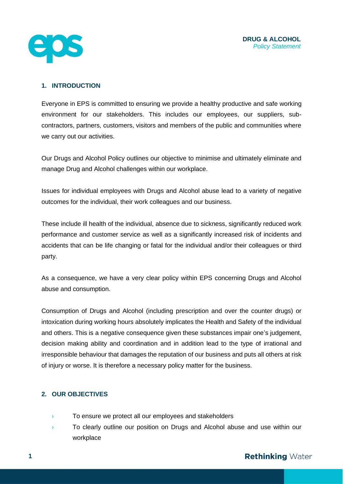

# **1. INTRODUCTION**

Everyone in EPS is committed to ensuring we provide a healthy productive and safe working environment for our stakeholders. This includes our employees, our suppliers, subcontractors, partners, customers, visitors and members of the public and communities where we carry out our activities.

Our Drugs and Alcohol Policy outlines our objective to minimise and ultimately eliminate and manage Drug and Alcohol challenges within our workplace.

Issues for individual employees with Drugs and Alcohol abuse lead to a variety of negative outcomes for the individual, their work colleagues and our business.

These include ill health of the individual, absence due to sickness, significantly reduced work performance and customer service as well as a significantly increased risk of incidents and accidents that can be life changing or fatal for the individual and/or their colleagues or third party.

As a consequence, we have a very clear policy within EPS concerning Drugs and Alcohol abuse and consumption.

Consumption of Drugs and Alcohol (including prescription and over the counter drugs) or intoxication during working hours absolutely implicates the Health and Safety of the individual and others. This is a negative consequence given these substances impair one's judgement, decision making ability and coordination and in addition lead to the type of irrational and irresponsible behaviour that damages the reputation of our business and puts all others at risk of injury or worse. It is therefore a necessary policy matter for the business.

## **2. OUR OBJECTIVES**

- › To ensure we protect all our employees and stakeholders
- › To clearly outline our position on Drugs and Alcohol abuse and use within our workplace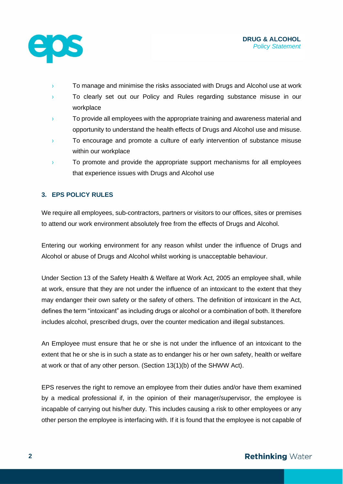

- › To manage and minimise the risks associated with Drugs and Alcohol use at work
- To clearly set out our Policy and Rules regarding substance misuse in our workplace
- <sup>></sup> To provide all employees with the appropriate training and awareness material and opportunity to understand the health effects of Drugs and Alcohol use and misuse.
- › To encourage and promote a culture of early intervention of substance misuse within our workplace
- <sup>></sup> To promote and provide the appropriate support mechanisms for all employees that experience issues with Drugs and Alcohol use

# **3. EPS POLICY RULES**

We require all employees, sub-contractors, partners or visitors to our offices, sites or premises to attend our work environment absolutely free from the effects of Drugs and Alcohol.

Entering our working environment for any reason whilst under the influence of Drugs and Alcohol or abuse of Drugs and Alcohol whilst working is unacceptable behaviour.

Under Section 13 of the Safety Health & Welfare at Work Act, 2005 an employee shall, while at work, ensure that they are not under the influence of an intoxicant to the extent that they may endanger their own safety or the safety of others. The definition of intoxicant in the Act, defines the term "intoxicant" as including drugs or alcohol or a combination of both. It therefore includes alcohol, prescribed drugs, over the counter medication and illegal substances.

An Employee must ensure that he or she is not under the influence of an intoxicant to the extent that he or she is in such a state as to endanger his or her own safety, health or welfare at work or that of any other person. (Section 13(1)(b) of the SHWW Act).

EPS reserves the right to remove an employee from their duties and/or have them examined by a medical professional if, in the opinion of their manager/supervisor, the employee is incapable of carrying out his/her duty. This includes causing a risk to other employees or any other person the employee is interfacing with. If it is found that the employee is not capable of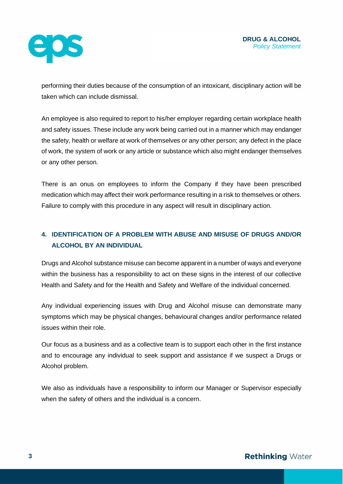

performing their duties because of the consumption of an intoxicant, disciplinary action will be taken which can include dismissal.

An employee is also required to report to his/her employer regarding certain workplace health and safety issues. These include any work being carried out in a manner which may endanger the safety, health or welfare at work of themselves or any other person; any defect in the place of work, the system of work or any article or substance which also might endanger themselves or any other person.

There is an onus on employees to inform the Company if they have been prescribed medication which may affect their work performance resulting in a risk to themselves or others. Failure to comply with this procedure in any aspect will result in disciplinary action.

# **4. IDENTIFICATION OF A PROBLEM WITH ABUSE AND MISUSE OF DRUGS AND/OR ALCOHOL BY AN INDIVIDUAL**

Drugs and Alcohol substance misuse can become apparent in a number of ways and everyone within the business has a responsibility to act on these signs in the interest of our collective Health and Safety and for the Health and Safety and Welfare of the individual concerned.

Any individual experiencing issues with Drug and Alcohol misuse can demonstrate many symptoms which may be physical changes, behavioural changes and/or performance related issues within their role.

Our focus as a business and as a collective team is to support each other in the first instance and to encourage any individual to seek support and assistance if we suspect a Drugs or Alcohol problem.

We also as individuals have a responsibility to inform our Manager or Supervisor especially when the safety of others and the individual is a concern.